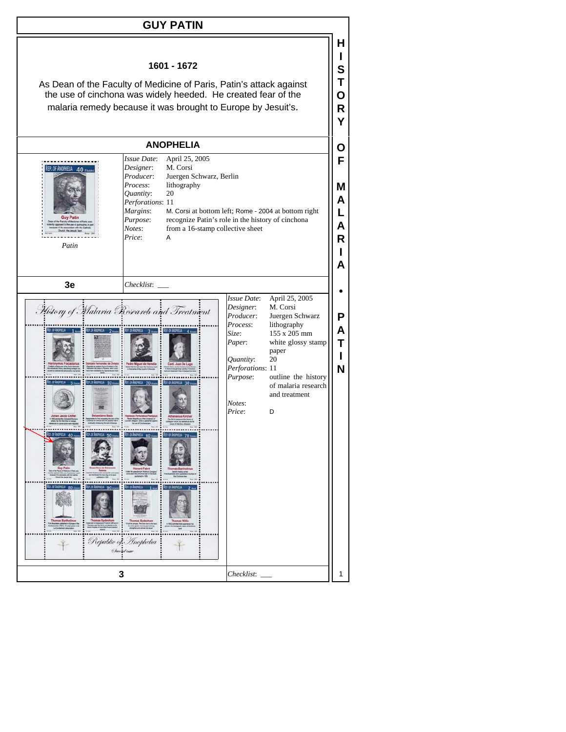